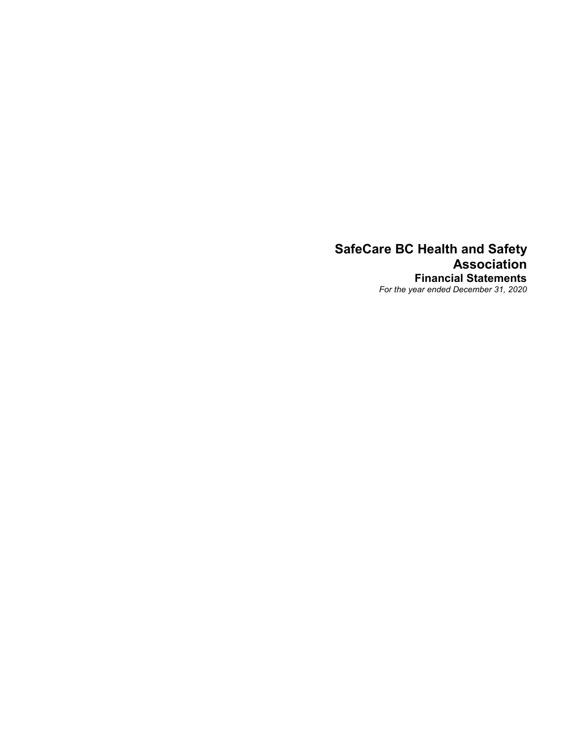# SafeCare BC Health and Safety Association Financial Statements For the year ended December 31, 2020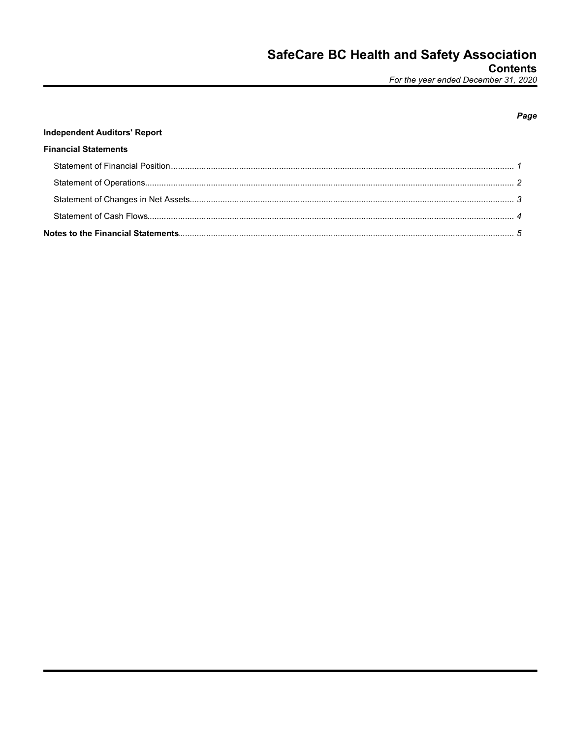# Page

# **Independent Auditors' Report**

## **Financial Statements**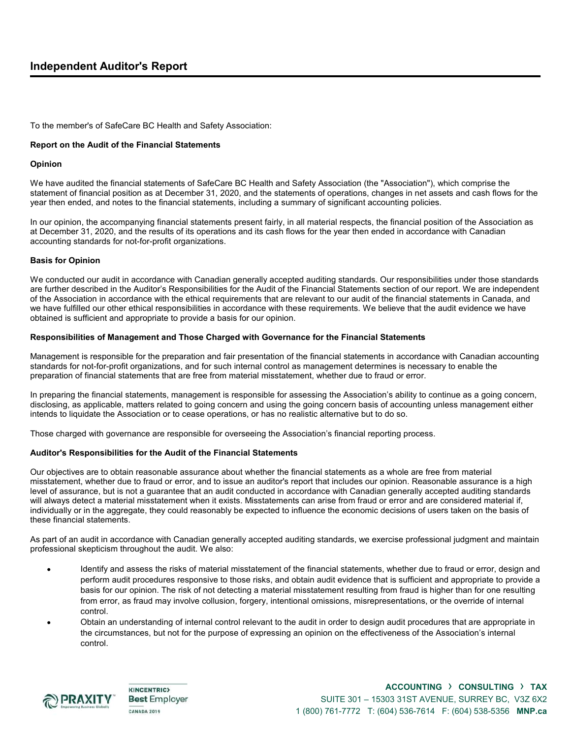## Independent Auditor's Report

To the member's of SafeCare BC Health and Safety Association:

### Report on the Audit of the Financial Statements

### Opinion

We have audited the financial statements of SafeCare BC Health and Safety Association (the "Association"), which comprise the statement of financial position as at December 31, 2020, and the statements of operations, changes in net assets and cash flows for the year then ended, and notes to the financial statements, including a summary of significant accounting policies.

In our opinion, the accompanying financial statements present fairly, in all material respects, the financial position of the Association as at December 31, 2020, and the results of its operations and its cash flows for the year then ended in accordance with Canadian accounting standards for not-for-profit organizations.

### Basis for Opinion

We conducted our audit in accordance with Canadian generally accepted auditing standards. Our responsibilities under those standards are further described in the Auditor's Responsibilities for the Audit of the Financial Statements section of our report. We are independent of the Association in accordance with the ethical requirements that are relevant to our audit of the financial statements in Canada, and we have fulfilled our other ethical responsibilities in accordance with these requirements. We believe that the audit evidence we have obtained is sufficient and appropriate to provide a basis for our opinion.

### Responsibilities of Management and Those Charged with Governance for the Financial Statements

Management is responsible for the preparation and fair presentation of the financial statements in accordance with Canadian accounting standards for not-for-profit organizations, and for such internal control as management determines is necessary to enable the preparation of financial statements that are free from material misstatement, whether due to fraud or error.

In preparing the financial statements, management is responsible for assessing the Association's ability to continue as a going concern, disclosing, as applicable, matters related to going concern and using the going concern basis of accounting unless management either intends to liquidate the Association or to cease operations, or has no realistic alternative but to do so.

Those charged with governance are responsible for overseeing the Association's financial reporting process.

### Auditor's Responsibilities for the Audit of the Financial Statements

Our objectives are to obtain reasonable assurance about whether the financial statements as a whole are free from material misstatement, whether due to fraud or error, and to issue an auditor's report that includes our opinion. Reasonable assurance is a high level of assurance, but is not a guarantee that an audit conducted in accordance with Canadian generally accepted auditing standards will always detect a material misstatement when it exists. Misstatements can arise from fraud or error and are considered material if, individually or in the aggregate, they could reasonably be expected to influence the economic decisions of users taken on the basis of these financial statements.

As part of an audit in accordance with Canadian generally accepted auditing standards, we exercise professional judgment and maintain professional skepticism throughout the audit. We also:

- Identify and assess the risks of material misstatement of the financial statements, whether due to fraud or error, design and perform audit procedures responsive to those risks, and obtain audit evidence that is sufficient and appropriate to provide a basis for our opinion. The risk of not detecting a material misstatement resulting from fraud is higher than for one resulting from error, as fraud may involve collusion, forgery, intentional omissions, misrepresentations, or the override of internal control.
- Obtain an understanding of internal control relevant to the audit in order to design audit procedures that are appropriate in the circumstances, but not for the purpose of expressing an opinion on the effectiveness of the Association's internal control.



**KINCENTRIC> Best Employer CANADA 2019**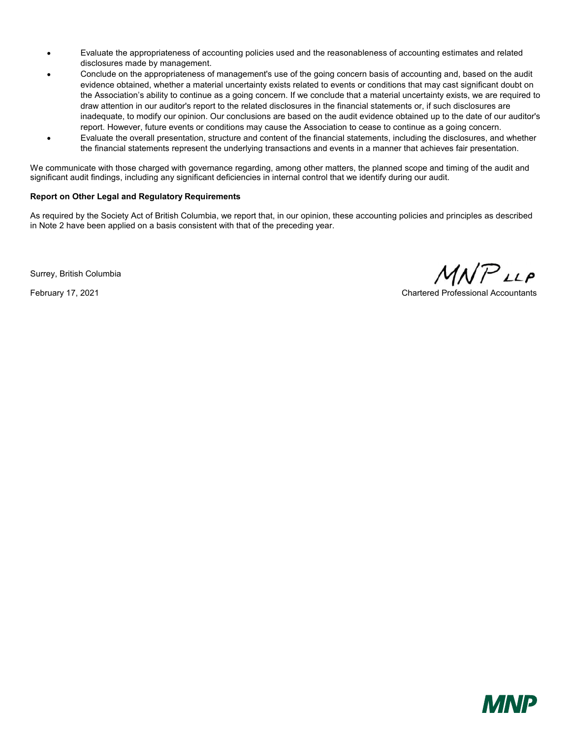- Evaluate the appropriateness of accounting policies used and the reasonableness of accounting estimates and related disclosures made by management.
- Conclude on the appropriateness of management's use of the going concern basis of accounting and, based on the audit evidence obtained, whether a material uncertainty exists related to events or conditions that may cast significant doubt on the Association's ability to continue as a going concern. If we conclude that a material uncertainty exists, we are required to draw attention in our auditor's report to the related disclosures in the financial statements or, if such disclosures are inadequate, to modify our opinion. Our conclusions are based on the audit evidence obtained up to the date of our auditor's report. However, future events or conditions may cause the Association to cease to continue as a going concern.
- Evaluate the overall presentation, structure and content of the financial statements, including the disclosures, and whether the financial statements represent the underlying transactions and events in a manner that achieves fair presentation.

We communicate with those charged with governance regarding, among other matters, the planned scope and timing of the audit and significant audit findings, including any significant deficiencies in internal control that we identify during our audit.

### Report on Other Legal and Regulatory Requirements

As required by the Society Act of British Columbia, we report that, in our opinion, these accounting policies and principles as described in Note 2 have been applied on a basis consistent with that of the preceding year.

Surrey, British Columbia

 $MNP$ LLP

February 17, 2021 Chartered Professional Accountants

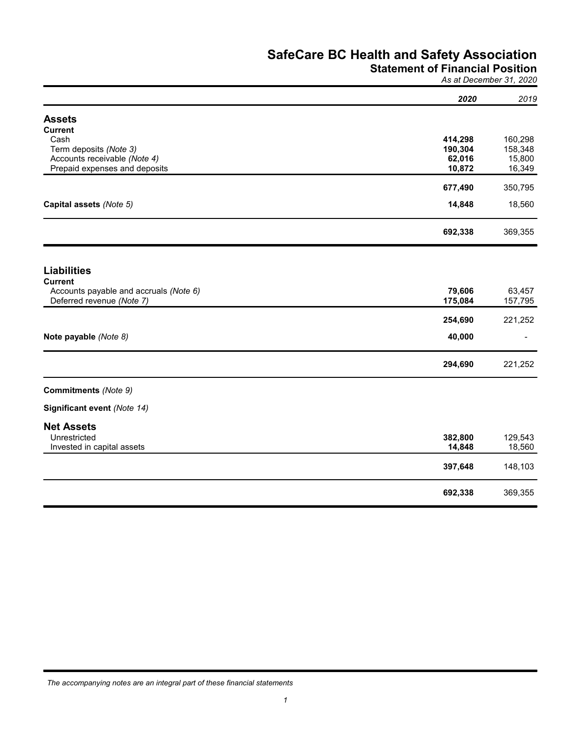# Statement of Financial Position

As at December 31, 2020

| Cash<br>414,298<br>Term deposits (Note 3)<br>190,304<br>158,348<br>Accounts receivable (Note 4)<br>62,016<br>15,800<br>Prepaid expenses and deposits<br>10,872<br>16,349<br>677,490<br>Capital assets (Note 5)<br>14,848<br>692,338<br><b>Liabilities</b><br><b>Current</b><br>79,606<br>Accounts payable and accruals (Note 6)<br>63,457<br>Deferred revenue (Note 7)<br>175,084<br>157,795<br>254,690<br>Note payable (Note 8)<br>40,000<br>$\overline{\phantom{a}}$<br>294,690<br><b>Net Assets</b><br>Unrestricted<br>382,800<br>129,543<br>Invested in capital assets<br>18,560<br>14,848<br>397,648<br>692,338 |                             | 2020 | 2019    |
|----------------------------------------------------------------------------------------------------------------------------------------------------------------------------------------------------------------------------------------------------------------------------------------------------------------------------------------------------------------------------------------------------------------------------------------------------------------------------------------------------------------------------------------------------------------------------------------------------------------------|-----------------------------|------|---------|
|                                                                                                                                                                                                                                                                                                                                                                                                                                                                                                                                                                                                                      | <b>Assets</b>               |      |         |
|                                                                                                                                                                                                                                                                                                                                                                                                                                                                                                                                                                                                                      | <b>Current</b>              |      |         |
|                                                                                                                                                                                                                                                                                                                                                                                                                                                                                                                                                                                                                      |                             |      | 160,298 |
|                                                                                                                                                                                                                                                                                                                                                                                                                                                                                                                                                                                                                      |                             |      |         |
|                                                                                                                                                                                                                                                                                                                                                                                                                                                                                                                                                                                                                      |                             |      |         |
|                                                                                                                                                                                                                                                                                                                                                                                                                                                                                                                                                                                                                      |                             |      |         |
|                                                                                                                                                                                                                                                                                                                                                                                                                                                                                                                                                                                                                      |                             |      | 350,795 |
|                                                                                                                                                                                                                                                                                                                                                                                                                                                                                                                                                                                                                      |                             |      | 18,560  |
|                                                                                                                                                                                                                                                                                                                                                                                                                                                                                                                                                                                                                      |                             |      | 369,355 |
|                                                                                                                                                                                                                                                                                                                                                                                                                                                                                                                                                                                                                      |                             |      |         |
|                                                                                                                                                                                                                                                                                                                                                                                                                                                                                                                                                                                                                      |                             |      |         |
|                                                                                                                                                                                                                                                                                                                                                                                                                                                                                                                                                                                                                      |                             |      |         |
|                                                                                                                                                                                                                                                                                                                                                                                                                                                                                                                                                                                                                      |                             |      |         |
|                                                                                                                                                                                                                                                                                                                                                                                                                                                                                                                                                                                                                      |                             |      | 221,252 |
|                                                                                                                                                                                                                                                                                                                                                                                                                                                                                                                                                                                                                      |                             |      |         |
|                                                                                                                                                                                                                                                                                                                                                                                                                                                                                                                                                                                                                      |                             |      | 221,252 |
|                                                                                                                                                                                                                                                                                                                                                                                                                                                                                                                                                                                                                      | Commitments (Note 9)        |      |         |
|                                                                                                                                                                                                                                                                                                                                                                                                                                                                                                                                                                                                                      | Significant event (Note 14) |      |         |
|                                                                                                                                                                                                                                                                                                                                                                                                                                                                                                                                                                                                                      |                             |      |         |
|                                                                                                                                                                                                                                                                                                                                                                                                                                                                                                                                                                                                                      |                             |      |         |
|                                                                                                                                                                                                                                                                                                                                                                                                                                                                                                                                                                                                                      |                             |      |         |
|                                                                                                                                                                                                                                                                                                                                                                                                                                                                                                                                                                                                                      |                             |      |         |
|                                                                                                                                                                                                                                                                                                                                                                                                                                                                                                                                                                                                                      |                             |      | 148,103 |
|                                                                                                                                                                                                                                                                                                                                                                                                                                                                                                                                                                                                                      |                             |      | 369,355 |

The accompanying notes are an integral part of these financial statements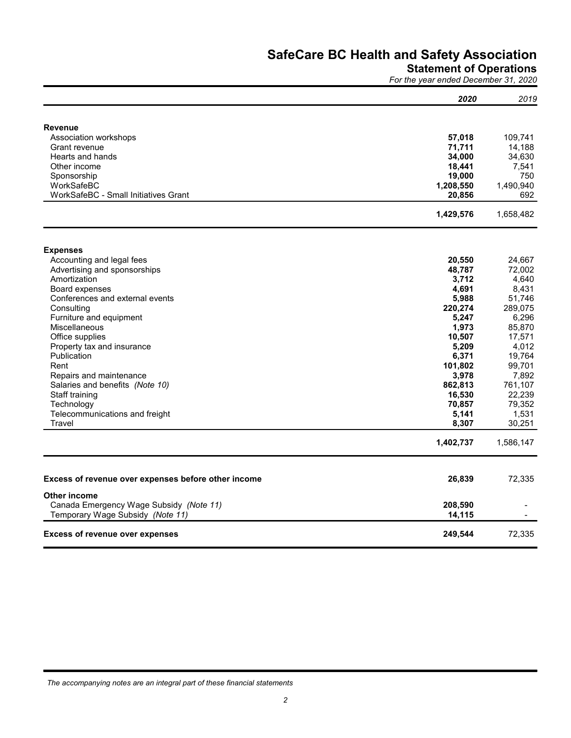## Statement of Operations

For the year ended December 31, 2020

| <b>Revenue</b><br>Association workshops<br>57,018<br>109,741<br>71,711<br>14,188<br>Grant revenue<br>Hearts and hands<br>34,000<br>Other income<br>18,441<br>7,541<br>19,000<br>750<br>Sponsorship<br>WorkSafeBC<br>1,208,550<br>WorkSafeBC - Small Initiatives Grant<br>20,856<br>1,429,576<br><b>Expenses</b><br>Accounting and legal fees<br>20,550<br>48,787<br>Advertising and sponsorships<br>3,712<br>Amortization<br>4,691<br>Board expenses<br>8,431<br>5,988<br>Conferences and external events<br>220,274<br>Consulting<br>Furniture and equipment<br>5,247<br>6,296<br>1,973<br>85,870<br>Miscellaneous<br>Office supplies<br>10,507<br>17,571<br>Property tax and insurance<br>5,209<br>Publication<br>6,371<br>19,764<br>Rent<br>101,802<br>99,701<br>3,978<br>Repairs and maintenance<br>862,813<br>761,107<br>Salaries and benefits (Note 10)<br>16,530<br>22,239<br>Staff training<br>Technology<br>70,857<br>5,141<br>1,531<br>Telecommunications and freight<br>8,307<br>30,251<br>Travel<br>1,402,737<br>26,839<br>Other income<br>Canada Emergency Wage Subsidy (Note 11)<br>208,590<br>Temporary Wage Subsidy (Note 11)<br>14,115<br>72,335<br>249,544 | 2020 | 2019 |
|------------------------------------------------------------------------------------------------------------------------------------------------------------------------------------------------------------------------------------------------------------------------------------------------------------------------------------------------------------------------------------------------------------------------------------------------------------------------------------------------------------------------------------------------------------------------------------------------------------------------------------------------------------------------------------------------------------------------------------------------------------------------------------------------------------------------------------------------------------------------------------------------------------------------------------------------------------------------------------------------------------------------------------------------------------------------------------------------------------------------------------------------------------------------------|------|------|
| 34,630<br>1,490,940<br>692<br>1,658,482<br>24,667<br>72,002<br>4,640<br>51,746<br>289,075<br>4,012<br>7,892<br>79,352<br>1,586,147<br>72,335<br>Excess of revenue over expenses before other income<br><b>Excess of revenue over expenses</b>                                                                                                                                                                                                                                                                                                                                                                                                                                                                                                                                                                                                                                                                                                                                                                                                                                                                                                                                |      |      |
|                                                                                                                                                                                                                                                                                                                                                                                                                                                                                                                                                                                                                                                                                                                                                                                                                                                                                                                                                                                                                                                                                                                                                                              |      |      |
|                                                                                                                                                                                                                                                                                                                                                                                                                                                                                                                                                                                                                                                                                                                                                                                                                                                                                                                                                                                                                                                                                                                                                                              |      |      |
|                                                                                                                                                                                                                                                                                                                                                                                                                                                                                                                                                                                                                                                                                                                                                                                                                                                                                                                                                                                                                                                                                                                                                                              |      |      |
|                                                                                                                                                                                                                                                                                                                                                                                                                                                                                                                                                                                                                                                                                                                                                                                                                                                                                                                                                                                                                                                                                                                                                                              |      |      |
|                                                                                                                                                                                                                                                                                                                                                                                                                                                                                                                                                                                                                                                                                                                                                                                                                                                                                                                                                                                                                                                                                                                                                                              |      |      |
|                                                                                                                                                                                                                                                                                                                                                                                                                                                                                                                                                                                                                                                                                                                                                                                                                                                                                                                                                                                                                                                                                                                                                                              |      |      |
|                                                                                                                                                                                                                                                                                                                                                                                                                                                                                                                                                                                                                                                                                                                                                                                                                                                                                                                                                                                                                                                                                                                                                                              |      |      |
|                                                                                                                                                                                                                                                                                                                                                                                                                                                                                                                                                                                                                                                                                                                                                                                                                                                                                                                                                                                                                                                                                                                                                                              |      |      |
|                                                                                                                                                                                                                                                                                                                                                                                                                                                                                                                                                                                                                                                                                                                                                                                                                                                                                                                                                                                                                                                                                                                                                                              |      |      |
|                                                                                                                                                                                                                                                                                                                                                                                                                                                                                                                                                                                                                                                                                                                                                                                                                                                                                                                                                                                                                                                                                                                                                                              |      |      |
|                                                                                                                                                                                                                                                                                                                                                                                                                                                                                                                                                                                                                                                                                                                                                                                                                                                                                                                                                                                                                                                                                                                                                                              |      |      |
|                                                                                                                                                                                                                                                                                                                                                                                                                                                                                                                                                                                                                                                                                                                                                                                                                                                                                                                                                                                                                                                                                                                                                                              |      |      |
|                                                                                                                                                                                                                                                                                                                                                                                                                                                                                                                                                                                                                                                                                                                                                                                                                                                                                                                                                                                                                                                                                                                                                                              |      |      |
|                                                                                                                                                                                                                                                                                                                                                                                                                                                                                                                                                                                                                                                                                                                                                                                                                                                                                                                                                                                                                                                                                                                                                                              |      |      |
|                                                                                                                                                                                                                                                                                                                                                                                                                                                                                                                                                                                                                                                                                                                                                                                                                                                                                                                                                                                                                                                                                                                                                                              |      |      |
|                                                                                                                                                                                                                                                                                                                                                                                                                                                                                                                                                                                                                                                                                                                                                                                                                                                                                                                                                                                                                                                                                                                                                                              |      |      |
|                                                                                                                                                                                                                                                                                                                                                                                                                                                                                                                                                                                                                                                                                                                                                                                                                                                                                                                                                                                                                                                                                                                                                                              |      |      |
|                                                                                                                                                                                                                                                                                                                                                                                                                                                                                                                                                                                                                                                                                                                                                                                                                                                                                                                                                                                                                                                                                                                                                                              |      |      |
|                                                                                                                                                                                                                                                                                                                                                                                                                                                                                                                                                                                                                                                                                                                                                                                                                                                                                                                                                                                                                                                                                                                                                                              |      |      |
|                                                                                                                                                                                                                                                                                                                                                                                                                                                                                                                                                                                                                                                                                                                                                                                                                                                                                                                                                                                                                                                                                                                                                                              |      |      |
|                                                                                                                                                                                                                                                                                                                                                                                                                                                                                                                                                                                                                                                                                                                                                                                                                                                                                                                                                                                                                                                                                                                                                                              |      |      |
|                                                                                                                                                                                                                                                                                                                                                                                                                                                                                                                                                                                                                                                                                                                                                                                                                                                                                                                                                                                                                                                                                                                                                                              |      |      |
|                                                                                                                                                                                                                                                                                                                                                                                                                                                                                                                                                                                                                                                                                                                                                                                                                                                                                                                                                                                                                                                                                                                                                                              |      |      |
|                                                                                                                                                                                                                                                                                                                                                                                                                                                                                                                                                                                                                                                                                                                                                                                                                                                                                                                                                                                                                                                                                                                                                                              |      |      |
|                                                                                                                                                                                                                                                                                                                                                                                                                                                                                                                                                                                                                                                                                                                                                                                                                                                                                                                                                                                                                                                                                                                                                                              |      |      |
|                                                                                                                                                                                                                                                                                                                                                                                                                                                                                                                                                                                                                                                                                                                                                                                                                                                                                                                                                                                                                                                                                                                                                                              |      |      |
|                                                                                                                                                                                                                                                                                                                                                                                                                                                                                                                                                                                                                                                                                                                                                                                                                                                                                                                                                                                                                                                                                                                                                                              |      |      |
|                                                                                                                                                                                                                                                                                                                                                                                                                                                                                                                                                                                                                                                                                                                                                                                                                                                                                                                                                                                                                                                                                                                                                                              |      |      |
|                                                                                                                                                                                                                                                                                                                                                                                                                                                                                                                                                                                                                                                                                                                                                                                                                                                                                                                                                                                                                                                                                                                                                                              |      |      |
|                                                                                                                                                                                                                                                                                                                                                                                                                                                                                                                                                                                                                                                                                                                                                                                                                                                                                                                                                                                                                                                                                                                                                                              |      |      |
|                                                                                                                                                                                                                                                                                                                                                                                                                                                                                                                                                                                                                                                                                                                                                                                                                                                                                                                                                                                                                                                                                                                                                                              |      |      |
|                                                                                                                                                                                                                                                                                                                                                                                                                                                                                                                                                                                                                                                                                                                                                                                                                                                                                                                                                                                                                                                                                                                                                                              |      |      |
|                                                                                                                                                                                                                                                                                                                                                                                                                                                                                                                                                                                                                                                                                                                                                                                                                                                                                                                                                                                                                                                                                                                                                                              |      |      |
|                                                                                                                                                                                                                                                                                                                                                                                                                                                                                                                                                                                                                                                                                                                                                                                                                                                                                                                                                                                                                                                                                                                                                                              |      |      |
|                                                                                                                                                                                                                                                                                                                                                                                                                                                                                                                                                                                                                                                                                                                                                                                                                                                                                                                                                                                                                                                                                                                                                                              |      |      |
|                                                                                                                                                                                                                                                                                                                                                                                                                                                                                                                                                                                                                                                                                                                                                                                                                                                                                                                                                                                                                                                                                                                                                                              |      |      |

The accompanying notes are an integral part of these financial statements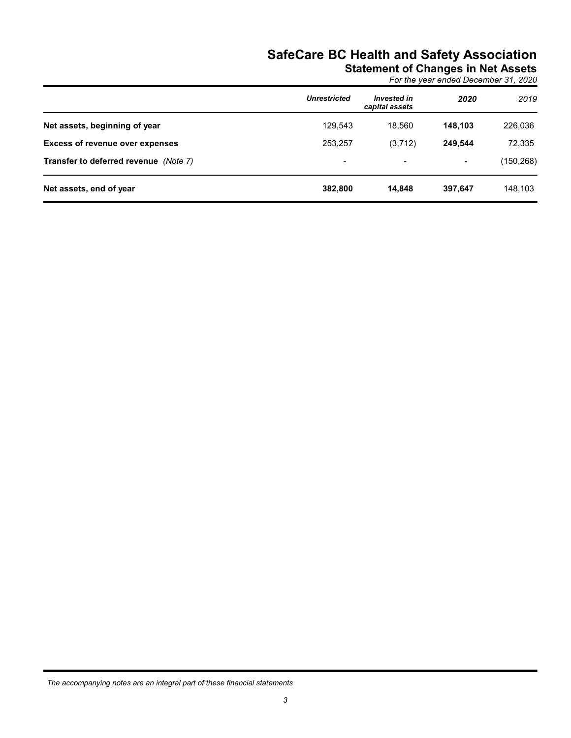|                                        | <b>Unrestricted</b> | <b>Invested in</b> | For the year ended December 31, 2020<br>2020 | 2019       |
|----------------------------------------|---------------------|--------------------|----------------------------------------------|------------|
|                                        |                     | capital assets     |                                              |            |
| Net assets, beginning of year          | 129,543             | 18,560             | 148,103                                      | 226,036    |
| <b>Excess of revenue over expenses</b> | 253,257             | (3,712)            | 249,544                                      | 72,335     |
|                                        |                     |                    |                                              |            |
| Transfer to deferred revenue (Note 7)  | $\blacksquare$      | $\overline{a}$     | ٠                                            | (150, 268) |

The accompanying notes are an integral part of these financial statements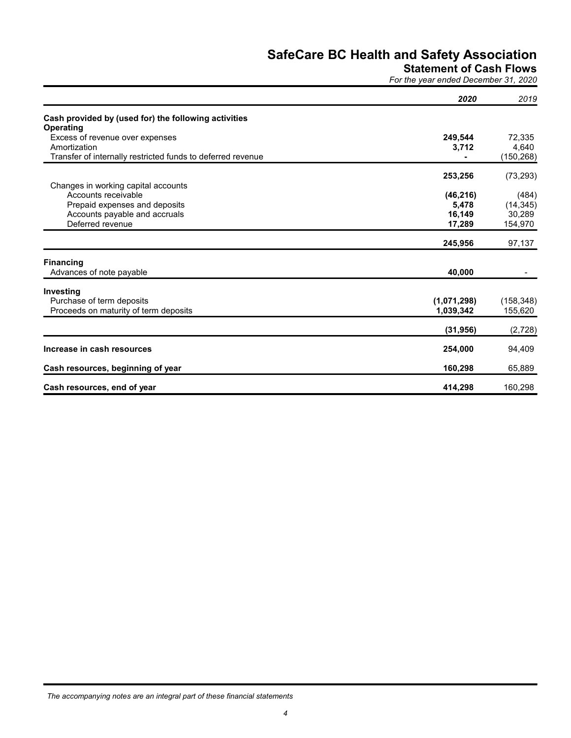Statement of Cash Flows

For the year ended December 31, 2020

|                                                                          | 2020        | 2019       |
|--------------------------------------------------------------------------|-------------|------------|
| Cash provided by (used for) the following activities<br><b>Operating</b> |             |            |
| Excess of revenue over expenses                                          | 249,544     | 72,335     |
| Amortization                                                             | 3,712       | 4,640      |
| Transfer of internally restricted funds to deferred revenue              |             | (150, 268) |
|                                                                          | 253,256     | (73, 293)  |
| Changes in working capital accounts<br>Accounts receivable               | (46, 216)   | (484)      |
| Prepaid expenses and deposits                                            | 5,478       | (14, 345)  |
| Accounts payable and accruals                                            | 16,149      | 30,289     |
| Deferred revenue                                                         | 17,289      | 154,970    |
|                                                                          | 245,956     | 97,137     |
| <b>Financing</b>                                                         |             |            |
| Advances of note payable                                                 | 40,000      |            |
| Investing                                                                |             |            |
| Purchase of term deposits                                                | (1,071,298) | (158, 348) |
| Proceeds on maturity of term deposits                                    | 1,039,342   | 155,620    |
|                                                                          | (31, 956)   | (2,728)    |
| Increase in cash resources                                               | 254,000     | 94,409     |
| Cash resources, beginning of year                                        | 160,298     | 65,889     |
| Cash resources, end of year                                              | 414,298     | 160,298    |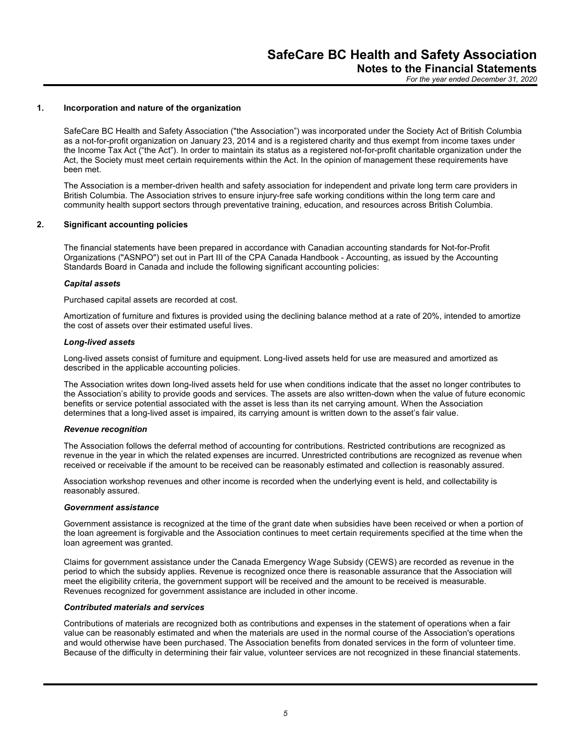**SafeCare BC Health and SafeCare BC Health and SAFE CALL AND AND A THE OF A THE OF A THE OF A THE OF A THE OF A THE OF A THE OF A THE OF A THE OF A THE OF A THE OF A THE OF A THE OF A THE OF A THE ACT (THE ACT). In order t** SafeCare BC Health and Safety Association ("the Association") was incorporated under the Society Act of British Columbia as a not-for-profit organization on January 23, 2014 and is a registered charity and thus exempt from income taxes under the Income Tax Act ("the Act"). In order to maintain its status as a registered not-for-profit charitable organization under the Act, the Society must meet certain requirements within the Act. In the opinion of management these requirements have been met. **SafeCare BC Headam**<br> **SafeCare BC Health and Safety Association**<br>
SafeCare BC Health and Safety Association ("the Association") was incorporated<br>
as a not-for-profit organization on January 23, 2014 and is a registered ch

The Association is a member-driven health and safety association for independent and private long term care providers in British Columbia. The Association strives to ensure injury-free safe working conditions within the long term care and community health support sectors through preventative training, education, and resources across British Columbia.

The financial statements have been prepared in accordance with Canadian accounting standards for Not-for-Profit Organizations ("ASNPO") set out in Part III of the CPA Canada Handbook - Accounting, as issued by the Accounting Standards Board in Canada and include the following significant accounting policies:

### Capital assets

Purchased capital assets are recorded at cost.

Amortization of furniture and fixtures is provided using the declining balance method at a rate of 20%, intended to amortize the cost of assets over their estimated useful lives.

### Long-lived assets

Long-lived assets consist of furniture and equipment. Long-lived assets held for use are measured and amortized as described in the applicable accounting policies.

The Association writes down long-lived assets held for use when conditions indicate that the asset no longer contributes to the Association's ability to provide goods and services. The assets are also written-down when the value of future economic benefits or service potential associated with the asset is less than its net carrying amount. When the Association determines that a long-lived asset is impaired, its carrying amount is written down to the asset's fair value.

### Revenue recognition

The Association follows the deferral method of accounting for contributions. Restricted contributions are recognized as revenue in the year in which the related expenses are incurred. Unrestricted contributions are recognized as revenue when received or receivable if the amount to be received can be reasonably estimated and collection is reasonably assured.

Association workshop revenues and other income is recorded when the underlying event is held, and collectability is reasonably assured.

### Government assistance

Government assistance is recognized at the time of the grant date when subsidies have been received or when a portion of the loan agreement is forgivable and the Association continues to meet certain requirements specified at the time when the loan agreement was granted.

Claims for government assistance under the Canada Emergency Wage Subsidy (CEWS) are recorded as revenue in the period to which the subsidy applies. Revenue is recognized once there is reasonable assurance that the Association will meet the eligibility criteria, the government support will be received and the amount to be received is measurable. Revenues recognized for government assistance are included in other income.

### Contributed materials and services

Contributions of materials are recognized both as contributions and expenses in the statement of operations when a fair value can be reasonably estimated and when the materials are used in the normal course of the Association's operations and would otherwise have been purchased. The Association benefits from donated services in the form of volunteer time. Because of the difficulty in determining their fair value, volunteer services are not recognized in these financial statements.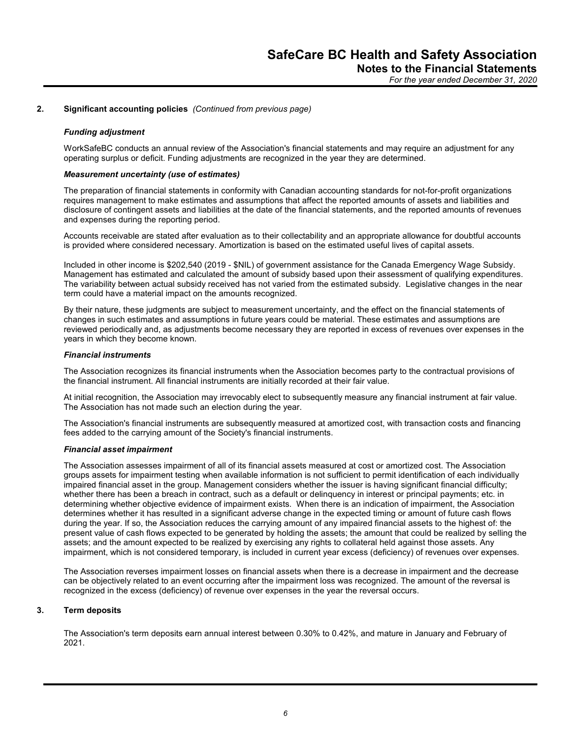### Funding adjustment

SafeCare BC Health and<br>
Notes to the<br>
Forth<br>
2. Significant accounting policies (Continued from previous page)<br>
Funding adjustment<br>
WorkSafeBC conducts an annual review of the Association's financial statements and may re<br> WorkSafeBC conducts an annual review of the Association's financial statements and may require an adjustment for any operating surplus or deficit. Funding adjustments are recognized in the year they are determined.

### Measurement uncertainty (use of estimates)

The preparation of financial statements in conformity with Canadian accounting standards for not-for-profit organizations requires management to make estimates and assumptions that affect the reported amounts of assets and liabilities and disclosure of contingent assets and liabilities at the date of the financial statements, and the reported amounts of revenues and expenses during the reporting period.

Accounts receivable are stated after evaluation as to their collectability and an appropriate allowance for doubtful accounts is provided where considered necessary. Amortization is based on the estimated useful lives of capital assets.

Included in other income is \$202,540 (2019 - \$NIL) of government assistance for the Canada Emergency Wage Subsidy. Management has estimated and calculated the amount of subsidy based upon their assessment of qualifying expenditures. The variability between actual subsidy received has not varied from the estimated subsidy. Legislative changes in the near term could have a material impact on the amounts recognized.

By their nature, these judgments are subject to measurement uncertainty, and the effect on the financial statements of changes in such estimates and assumptions in future years could be material. These estimates and assumptions are reviewed periodically and, as adjustments become necessary they are reported in excess of revenues over expenses in the years in which they become known.

### Financial instruments

The Association recognizes its financial instruments when the Association becomes party to the contractual provisions of the financial instrument. All financial instruments are initially recorded at their fair value.

At initial recognition, the Association may irrevocably elect to subsequently measure any financial instrument at fair value. The Association has not made such an election during the year.

The Association's financial instruments are subsequently measured at amortized cost, with transaction costs and financing fees added to the carrying amount of the Society's financial instruments.

### Financial asset impairment

The Association assesses impairment of all of its financial assets measured at cost or amortized cost. The Association groups assets for impairment testing when available information is not sufficient to permit identification of each individually impaired financial asset in the group. Management considers whether the issuer is having significant financial difficulty; whether there has been a breach in contract, such as a default or delinquency in interest or principal payments; etc. in determining whether objective evidence of impairment exists. When there is an indication of impairment, the Association determines whether it has resulted in a significant adverse change in the expected timing or amount of future cash flows during the year. If so, the Association reduces the carrying amount of any impaired financial assets to the highest of: the present value of cash flows expected to be generated by holding the assets; the amount that could be realized by selling the assets; and the amount expected to be realized by exercising any rights to collateral held against those assets. Any impairment, which is not considered temporary, is included in current year excess (deficiency) of revenues over expenses. The Association recognizes its financial instruments when the Association becomment the financial instruments and instruments are initially recorded at their fair A finincial instruments are initially recorded at their fai

The Association reverses impairment losses on financial assets when there is a decrease in impairment and the decrease can be objectively related to an event occurring after the impairment loss was recognized. The amount of the reversal is recognized in the excess (deficiency) of revenue over expenses in the year the reversal occurs.

The Association's term deposits earn annual interest between 0.30% to 0.42%, and mature in January and February of 2021.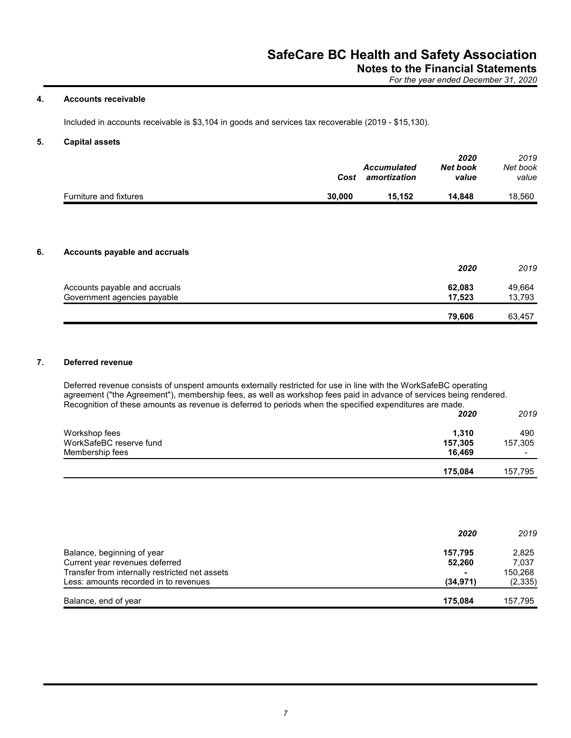|                                                                                                     | <b>SafeCare BC Health and Safety Association</b> |                                          |                                      |                           |
|-----------------------------------------------------------------------------------------------------|--------------------------------------------------|------------------------------------------|--------------------------------------|---------------------------|
|                                                                                                     |                                                  | <b>Notes to the Financial Statements</b> | For the year ended December 31, 2020 |                           |
| <b>Accounts receivable</b>                                                                          |                                                  |                                          |                                      |                           |
| Included in accounts receivable is \$3,104 in goods and services tax recoverable (2019 - \$15,130). |                                                  |                                          |                                      |                           |
| <b>Capital assets</b>                                                                               |                                                  |                                          |                                      |                           |
|                                                                                                     | Cost                                             | <b>Accumulated</b><br>amortization       | 2020<br><b>Net book</b><br>value     | 2019<br>Net book<br>value |
| Furniture and fixtures                                                                              | 30,000                                           | 15,152                                   | 14,848                               | 18,560                    |
|                                                                                                     |                                                  |                                          |                                      |                           |
| Accounts payable and accruals                                                                       |                                                  |                                          |                                      |                           |
|                                                                                                     |                                                  |                                          | 2020                                 | 2019                      |
| Accounts payable and accruals                                                                       |                                                  |                                          | 62,083                               | 49,664                    |
| Government agencies payable                                                                         |                                                  |                                          | 17,523                               | 13,793                    |
|                                                                                                     |                                                  |                                          | 79,606                               | 63,457                    |

|                               | 2020   | 2019   |
|-------------------------------|--------|--------|
| Accounts payable and accruals | 62,083 | 49,664 |
| Government agencies payable   | 17,523 | 13,793 |
|                               | 79.606 | 63,457 |

|                         | 2020    | 2019    |
|-------------------------|---------|---------|
| Workshop fees           | 1,310   | 490     |
| WorkSafeBC reserve fund | 157,305 | 157,305 |
| Membership fees         | 16,469  | $\sim$  |
|                         | 175,084 | 157,795 |

|                                                | 2020      | 2019     |
|------------------------------------------------|-----------|----------|
| Balance, beginning of year                     | 157.795   | 2,825    |
| Current year revenues deferred                 | 52,260    | 7,037    |
| Transfer from internally restricted net assets |           | 150,268  |
| Less: amounts recorded in to revenues          | (34, 971) | (2, 335) |
| Balance, end of year                           | 175.084   | 157,795  |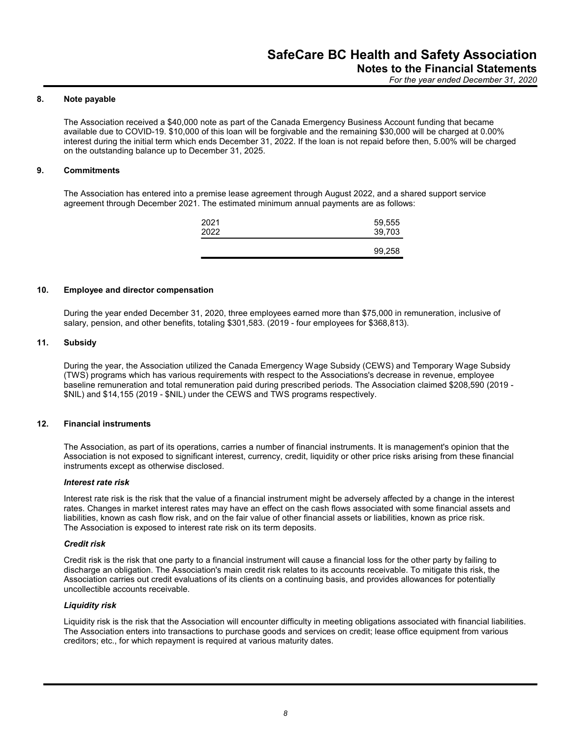**SafeCare BC Headles**<br>
Note<br>
Note<br>
Note<br>
The Association received a \$40,000 note as part of the Canada Emergency Busin<br>
available due to COVID-19. \$10,000 of this loan will be forgivable and the remainin<br>
interest during t The Association received a \$40,000 note as part of the Canada Emergency Business Account funding that became available due to COVID-19. \$10,000 of this loan will be forgivable and the remaining \$30,000 will be charged at 0.00% interest during the initial term which ends December 31, 2022. If the loan is not repaid before then, 5.00% will be charged on the outstanding balance up to December 31, 2025. SafeCare BC He:<br>
Note payable<br>
The Association received a \$40,000 note as part of the Canada Emergency Busin<br>
available due to COVID-19. \$10,000 of this loan will be forgivable and the remaining<br>
interest during the initia **SafeCare BC Health**<br> **10.** Note payable<br>
The Association received a \$40,000 note as part of the Canada Emergency Business Accountable due to COVID-19. \$10,000 note as part of the Canada Emergency Business Accountable due

The Association has entered into a premise lease agreement through August 2022, and a shared support service agreement through December 2021. The estimated minimum annual payments are as follows:

During the year ended December 31, 2020, three employees earned more than \$75,000 in remuneration, inclusive of salary, pension, and other benefits, totaling \$301,583. (2019 - four employees for \$368,813).

8. Note payable<br>
The Association received a \$40,000 note as part of the Canada Emergency Busin<br>
available due to COVID-19. \$10,000 of this loan will be forgivable and the remainin<br>
interest during the initial term which en During the year, the Association utilized the Canada Emergency Wage Subsidy (CEWS) and Temporary Wage Subsidy (TWS) programs which has various requirements with respect to the Associations's decrease in revenue, employee baseline remuneration and total remuneration paid during prescribed periods. The Association claimed \$208,590 (2019 - \$NIL) and \$14,155 (2019 - \$NIL) under the CEWS and TWS programs respectively. The Association has entered into a premise lease agreement through August 2023<br>
agreement through December 2021. The estimated minimum annual payments are<br>
2021<br>
2022<br>
2022<br>
2022<br>
2022<br>
2022<br>
2022<br>
2022<br>
2022<br>
2022<br>
2022<br>

The Association, as part of its operations, carries a number of financial instruments. It is management's opinion that the Association is not exposed to significant interest, currency, credit, liquidity or other price risks arising from these financial instruments except as otherwise disclosed.

### Interest rate risk

Interest rate risk is the risk that the value of a financial instrument might be adversely affected by a change in the interest rates. Changes in market interest rates may have an effect on the cash flows associated with some financial assets and liabilities, known as cash flow risk, and on the fair value of other financial assets or liabilities, known as price risk. The Association is exposed to interest rate risk on its term deposits.

### Credit risk

Credit risk is the risk that one party to a financial instrument will cause a financial loss for the other party by failing to discharge an obligation. The Association's main credit risk relates to its accounts receivable. To mitigate this risk, the Association carries out credit evaluations of its clients on a continuing basis, and provides allowances for potentially uncollectible accounts receivable.

### Liquidity risk

Liquidity risk is the risk that the Association will encounter difficulty in meeting obligations associated with financial liabilities. The Association enters into transactions to purchase goods and services on credit; lease office equipment from various creditors; etc., for which repayment is required at various maturity dates.